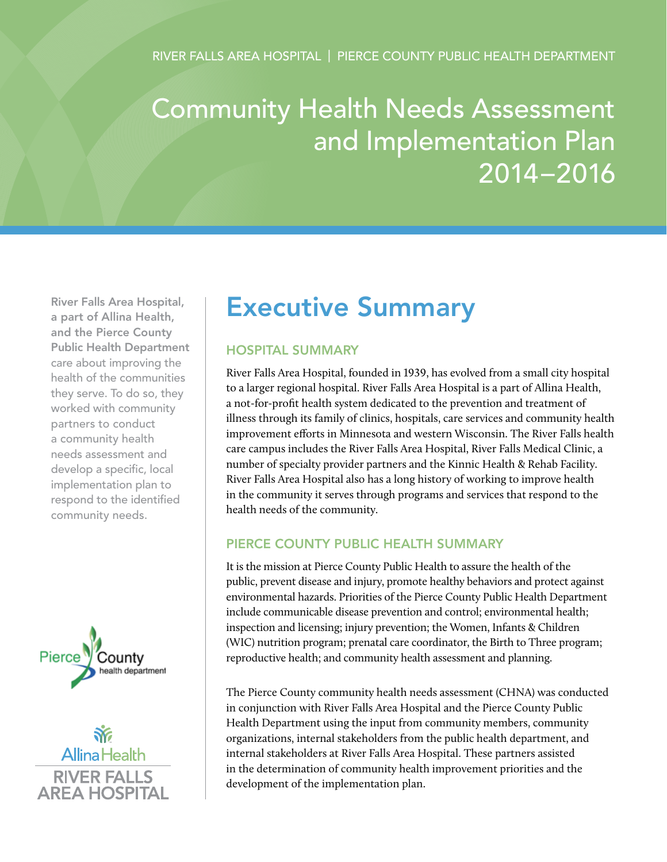# Community Health Needs Assessment and Implementation Plan 2014–2016

River Falls Area Hospital, a part of Allina Health, and the Pierce County Public Health Department care about improving the health of the communities they serve. To do so, they worked with community partners to conduct a community health needs assessment and develop a specific, local implementation plan to respond to the identified community needs.



 $\tilde{\mathbf{w}}$ Allina Health **RIVER FALLS ARFA HOSPITAL** 

## Executive Summary

## Hospital Summary

River Falls Area Hospital, founded in 1939, has evolved from a small city hospital to a larger regional hospital. River Falls Area Hospital is a part of Allina Health, a not-for-profit health system dedicated to the prevention and treatment of illness through its family of clinics, hospitals, care services and community health improvement efforts in Minnesota and western Wisconsin. The River Falls health care campus includes the River Falls Area Hospital, River Falls Medical Clinic, a number of specialty provider partners and the Kinnic Health & Rehab Facility. River Falls Area Hospital also has a long history of working to improve health in the community it serves through programs and services that respond to the health needs of the community.

## Pierce County Public Health Summary

It is the mission at Pierce County Public Health to assure the health of the public, prevent disease and injury, promote healthy behaviors and protect against environmental hazards. Priorities of the Pierce County Public Health Department include communicable disease prevention and control; environmental health; inspection and licensing; injury prevention; the Women, Infants & Children (WIC) nutrition program; prenatal care coordinator, the Birth to Three program; reproductive health; and community health assessment and planning.

The Pierce County community health needs assessment (CHNA) was conducted in conjunction with River Falls Area Hospital and the Pierce County Public Health Department using the input from community members, community organizations, internal stakeholders from the public health department, and internal stakeholders at River Falls Area Hospital. These partners assisted in the determination of community health improvement priorities and the development of the implementation plan.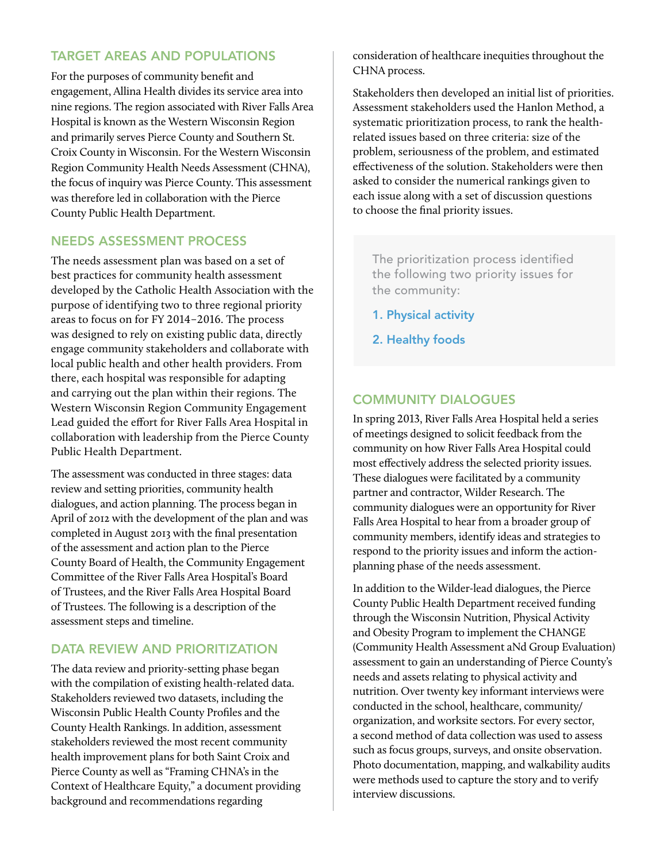## Target Areas and Populations

For the purposes of community benefit and engagement, Allina Health divides its service area into nine regions. The region associated with River Falls Area Hospital is known as the Western Wisconsin Region and primarily serves Pierce County and Southern St. Croix County in Wisconsin. For the Western Wisconsin Region Community Health Needs Assessment (CHNA), the focus of inquiry was Pierce County. This assessment was therefore led in collaboration with the Pierce County Public Health Department.

## Needs Assessment Process

The needs assessment plan was based on a set of best practices for community health assessment developed by the Catholic Health Association with the purpose of identifying two to three regional priority areas to focus on for FY 2014–2016. The process was designed to rely on existing public data, directly engage community stakeholders and collaborate with local public health and other health providers. From there, each hospital was responsible for adapting and carrying out the plan within their regions. The Western Wisconsin Region Community Engagement Lead guided the effort for River Falls Area Hospital in collaboration with leadership from the Pierce County Public Health Department.

The assessment was conducted in three stages: data review and setting priorities, community health dialogues, and action planning. The process began in April of 2012 with the development of the plan and was completed in August 2013 with the final presentation of the assessment and action plan to the Pierce County Board of Health, the Community Engagement Committee of the River Falls Area Hospital's Board of Trustees, and the River Falls Area Hospital Board of Trustees. The following is a description of the assessment steps and timeline.

## DATA REVIEW AND PRIORITIZATION

The data review and priority-setting phase began with the compilation of existing health-related data. Stakeholders reviewed two datasets, including the Wisconsin Public Health County Profiles and the County Health Rankings. In addition, assessment stakeholders reviewed the most recent community health improvement plans for both Saint Croix and Pierce County as well as "Framing CHNA's in the Context of Healthcare Equity," a document providing background and recommendations regarding

consideration of healthcare inequities throughout the CHNA process.

Stakeholders then developed an initial list of priorities. Assessment stakeholders used the Hanlon Method, a systematic prioritization process, to rank the healthrelated issues based on three criteria: size of the problem, seriousness of the problem, and estimated effectiveness of the solution. Stakeholders were then asked to consider the numerical rankings given to each issue along with a set of discussion questions to choose the final priority issues.

The prioritization process identified the following two priority issues for the community:

- 1. Physical activity
- 2. Healthy foods

## Community Dialogues

In spring 2013, River Falls Area Hospital held a series of meetings designed to solicit feedback from the community on how River Falls Area Hospital could most effectively address the selected priority issues. These dialogues were facilitated by a community partner and contractor, Wilder Research. The community dialogues were an opportunity for River Falls Area Hospital to hear from a broader group of community members, identify ideas and strategies to respond to the priority issues and inform the actionplanning phase of the needs assessment.

In addition to the Wilder-lead dialogues, the Pierce County Public Health Department received funding through the Wisconsin Nutrition, Physical Activity and Obesity Program to implement the CHANGE (Community Health Assessment aNd Group Evaluation) assessment to gain an understanding of Pierce County's needs and assets relating to physical activity and nutrition. Over twenty key informant interviews were conducted in the school, healthcare, community/ organization, and worksite sectors. For every sector, a second method of data collection was used to assess such as focus groups, surveys, and onsite observation. Photo documentation, mapping, and walkability audits were methods used to capture the story and to verify interview discussions.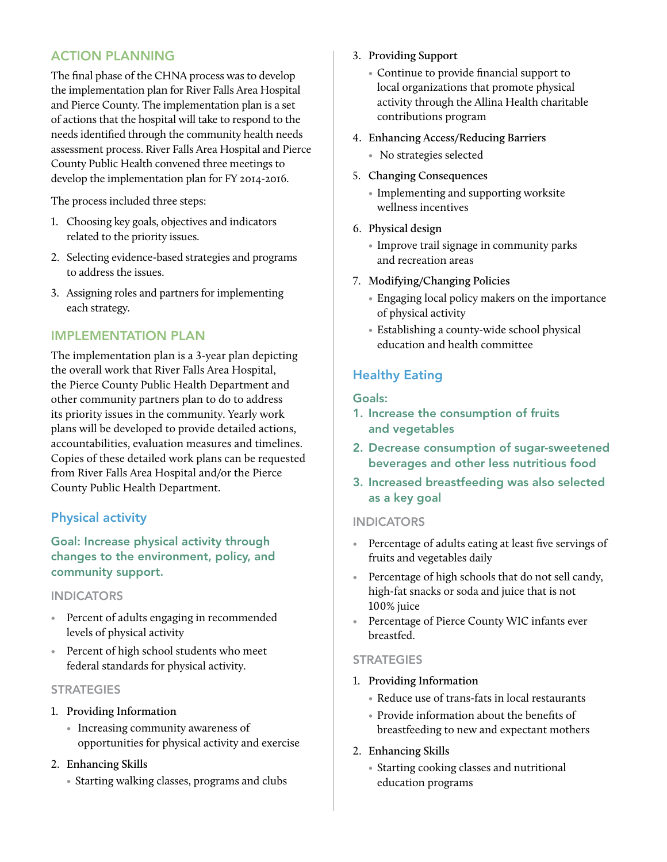## Action Planning

The final phase of the CHNA process was to develop the implementation plan for River Falls Area Hospital and Pierce County. The implementation plan is a set of actions that the hospital will take to respond to the needs identified through the community health needs assessment process. River Falls Area Hospital and Pierce County Public Health convened three meetings to develop the implementation plan for FY 2014-2016.

The process included three steps:

- 1. Choosing key goals, objectives and indicators related to the priority issues.
- 2. Selecting evidence-based strategies and programs to address the issues.
- 3. Assigning roles and partners for implementing each strategy.

## Implementation Plan

The implementation plan is a 3-year plan depicting the overall work that River Falls Area Hospital, the Pierce County Public Health Department and other community partners plan to do to address its priority issues in the community. Yearly work plans will be developed to provide detailed actions, accountabilities, evaluation measures and timelines. Copies of these detailed work plans can be requested from River Falls Area Hospital and/or the Pierce County Public Health Department.

## Physical activity

Goal: Increase physical activity through changes to the environment, policy, and community support.

#### **INDICATORS**

- Percent of adults engaging in recommended levels of physical activity
- Percent of high school students who meet federal standards for physical activity.

#### **STRATEGIES**

- 1. **Providing Information**
	- Increasing community awareness of opportunities for physical activity and exercise

#### 2. **Enhancing Skills**

 • Starting walking classes, programs and clubs

- 3. **Providing Support**
	- Continue to provide financial support to local organizations that promote physical activity through the Allina Health charitable contributions program

### 4. **Enhancing Access/Reducing Barriers**

- No strategies selected
- 5. **Changing Consequences**
	- Implementing and supporting worksite wellness incentives
- 6. **Physical design**
	- Improve trail signage in community parks and recreation areas
- 7. **Modifying/Changing Policies**
	- Engaging local policy makers on the importance of physical activity
	- Establishing a county-wide school physical education and health committee

## Healthy Eating

#### Goals:

- 1. Increase the consumption of fruits and vegetables
- 2. Decrease consumption of sugar-sweetened beverages and other less nutritious food
- 3. Increased breastfeeding was also selected as a key goal

#### **INDICATORS**

- Percentage of adults eating at least five servings of fruits and vegetables daily
- Percentage of high schools that do not sell candy, high-fat snacks or soda and juice that is not 100% juice
- Percentage of Pierce County WIC infants ever breastfed.

#### **STRATEGIES**

- 1. **Providing Information**
	- Reduce use of trans-fats in local restaurants
	- Provide information about the benefits of breastfeeding to new and expectant mothers
- 2. **Enhancing Skills**
	- Starting cooking classes and nutritional education programs